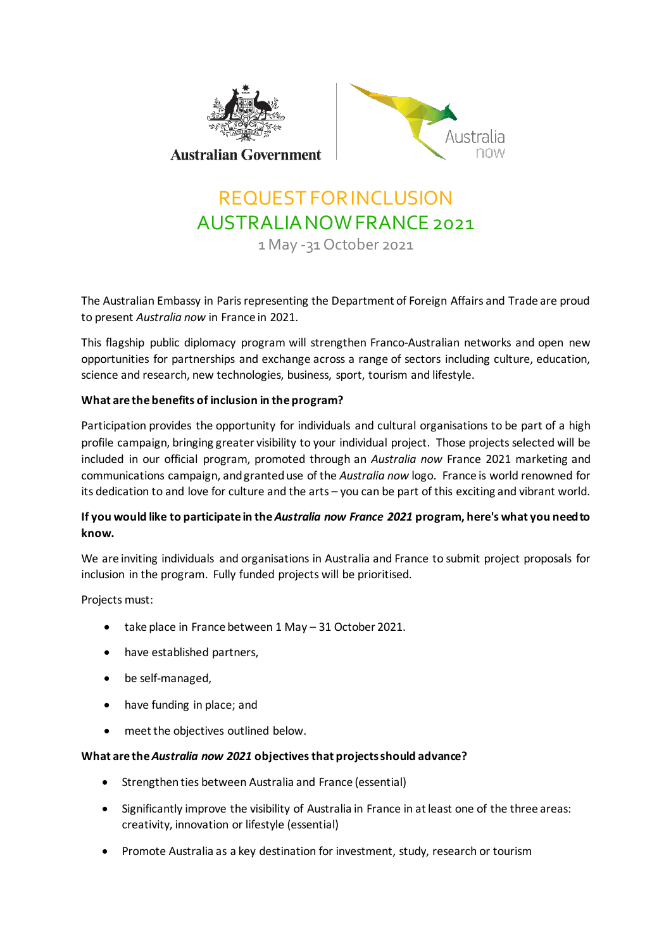



# REQUEST FORINCLUSION AUSTRALIANOWFRANCE 2021

1 May -31 October 2021

The Australian Embassy in Paris representing the Department of Foreign Affairs and Trade are proud to present *Australia now* in France in 2021.

This flagship public diplomacy program will strengthen Franco-Australian networks and open new opportunities for partnerships and exchange across a range of sectors including culture, education, science and research, new technologies, business, sport, tourism and lifestyle.

## **What are the benefits of inclusion in the program?**

Participation provides the opportunity for individuals and cultural organisations to be part of a high profile campaign, bringing greater visibility to your individual project. Those projects selected will be included in our official program, promoted through an *Australia now* France 2021 marketing and communications campaign, andgranteduse of the *Australia now* logo. France is world renowned for its dedication to and love for culture and the arts – you can be part of this exciting and vibrant world.

## **If you would like to participate in the***Australia now France 2021* **program, here's what you needto know.**

We are inviting individuals and organisations in Australia and France to submit project proposals for inclusion in the program. Fully funded projects will be prioritised.

Projects must:

- take place in France between 1 May 31 October 2021.
- have established partners,
- be self-managed,
- have funding in place; and
- meet the objectives outlined below.

### **What are the***Australia now 2021* **objectivesthat projectsshould advance?**

- **•** Strengthen ties between Australia and France (essential)
- Significantly improve the visibility of Australia in France in atleast one of the three areas: creativity, innovation or lifestyle (essential)
- Promote Australia as a key destination for investment, study, research or tourism